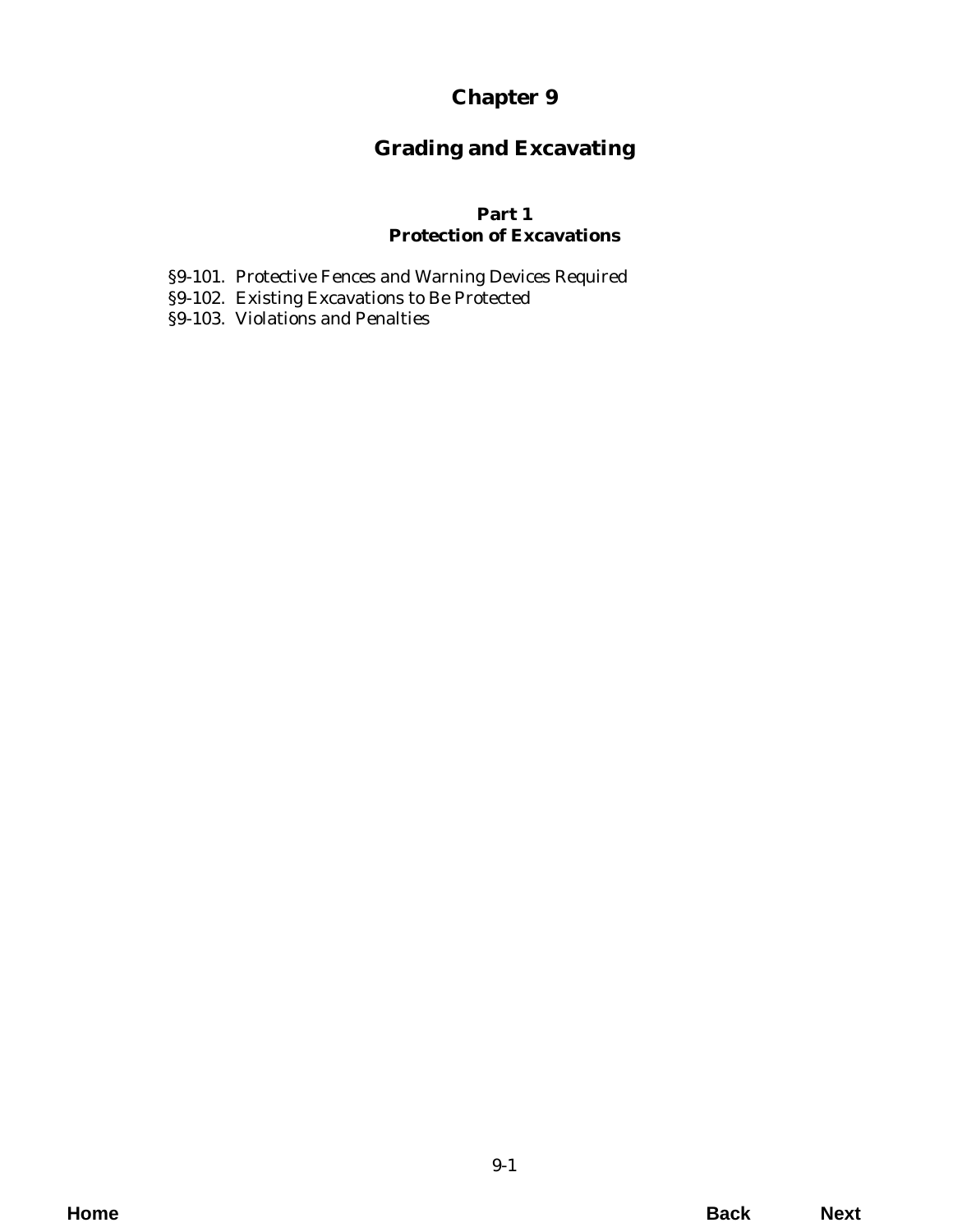# **Chapter 9**

# **Grading and Excavating**

## **Part 1 Protection of Excavations**

- [§9-101. Protective Fences and Warning Devices Required](#page-2-0)
- §9-102. Existing Excavations to Be Protected
- §9-103. Violations and Penalties